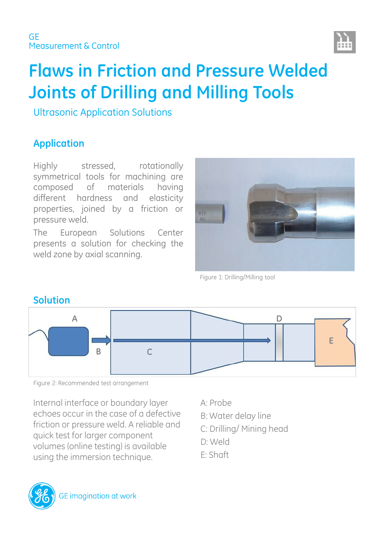

# **Flaws in Friction and Pressure Welded Joints of Drilling and Milling Tools**

Ultrasonic Application Solutions

# **Application**

Highly stressed, rotationally symmetrical tools for machining are composed of materials having different hardness and elasticity properties, joined by a friction or pressure weld.

The European Solutions Center presents a solution for checking the weld zone by axial scanning.



Figure 1: Drilling/Milling tool



**Solution**

Figure 2: Recommended test arrangement

Internal interface or boundary layer echoes occur in the case of a defective friction or pressure weld. A reliable and quick test for larger component volumes (online testing) is available using the immersion technique.

- A: Probe
- B: Water delay line
- C: Drilling/ Mining head
- D: Weld
- E: Shaft